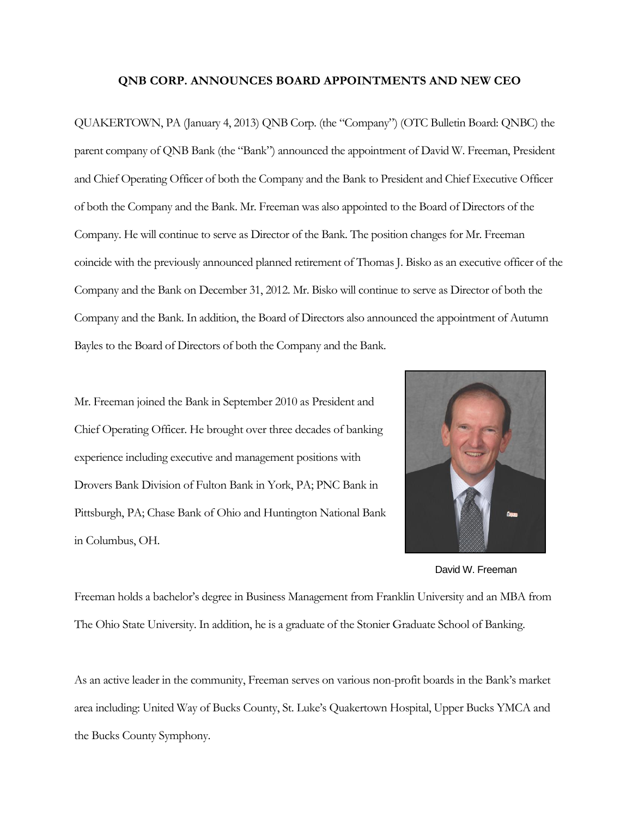## **QNB CORP. ANNOUNCES BOARD APPOINTMENTS AND NEW CEO**

QUAKERTOWN, PA (January 4, 2013) QNB Corp. (the "Company") (OTC Bulletin Board: QNBC) the parent company of QNB Bank (the "Bank") announced the appointment of David W. Freeman, President and Chief Operating Officer of both the Company and the Bank to President and Chief Executive Officer of both the Company and the Bank. Mr. Freeman was also appointed to the Board of Directors of the Company. He will continue to serve as Director of the Bank. The position changes for Mr. Freeman coincide with the previously announced planned retirement of Thomas J. Bisko as an executive officer of the Company and the Bank on December 31, 2012. Mr. Bisko will continue to serve as Director of both the Company and the Bank. In addition, the Board of Directors also announced the appointment of Autumn Bayles to the Board of Directors of both the Company and the Bank.

Mr. Freeman joined the Bank in September 2010 as President and Chief Operating Officer. He brought over three decades of banking experience including executive and management positions with Drovers Bank Division of Fulton Bank in York, PA; PNC Bank in Pittsburgh, PA; Chase Bank of Ohio and Huntington National Bank in Columbus, OH.



David W. Freeman

Freeman holds a bachelor's degree in Business Management from Franklin University and an MBA from The Ohio State University. In addition, he is a graduate of the Stonier Graduate School of Banking.

As an active leader in the community, Freeman serves on various non-profit boards in the Bank's market area including: United Way of Bucks County, St. Luke's Quakertown Hospital, Upper Bucks YMCA and the Bucks County Symphony.